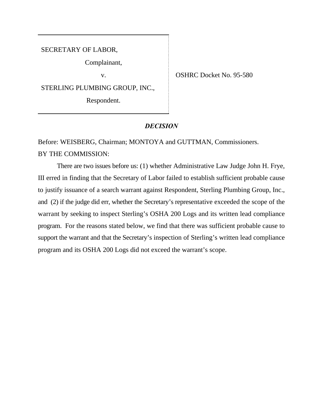SECRETARY OF LABOR,

Complainant,

STERLING PLUMBING GROUP, INC.,

Respondent.

v. **OSHRC Docket No. 95-580** 

## *DECISION*

Before: WEISBERG, Chairman; MONTOYA and GUTTMAN, Commissioners. BY THE COMMISSION:

There are two issues before us: (1) whether Administrative Law Judge John H. Frye, III erred in finding that the Secretary of Labor failed to establish sufficient probable cause to justify issuance of a search warrant against Respondent, Sterling Plumbing Group, Inc., and (2) if the judge did err, whether the Secretary's representative exceeded the scope of the warrant by seeking to inspect Sterling's OSHA 200 Logs and its written lead compliance program. For the reasons stated below, we find that there was sufficient probable cause to support the warrant and that the Secretary's inspection of Sterling's written lead compliance program and its OSHA 200 Logs did not exceed the warrant's scope.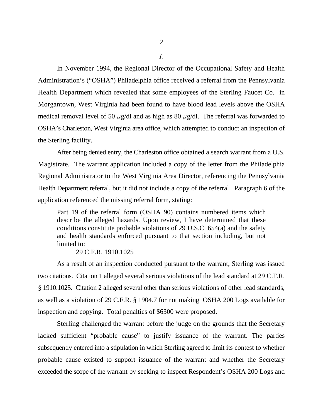In November 1994, the Regional Director of the Occupational Safety and Health Administration's ("OSHA") Philadelphia office received a referral from the Pennsylvania Health Department which revealed that some employees of the Sterling Faucet Co. in Morgantown, West Virginia had been found to have blood lead levels above the OSHA medical removal level of 50  $\mu$ g/dl and as high as 80  $\mu$ g/dl. The referral was forwarded to OSHA's Charleston, West Virginia area office, which attempted to conduct an inspection of the Sterling facility.

After being denied entry, the Charleston office obtained a search warrant from a U.S. Magistrate. The warrant application included a copy of the letter from the Philadelphia Regional Administrator to the West Virginia Area Director, referencing the Pennsylvania Health Department referral, but it did not include a copy of the referral. Paragraph 6 of the application referenced the missing referral form, stating:

Part 19 of the referral form (OSHA 90) contains numbered items which describe the alleged hazards. Upon review, I have determined that these conditions constitute probable violations of 29 U.S.C. 654(a) and the safety and health standards enforced pursuant to that section including, but not limited to:

29 C.F.R. 1910.1025

As a result of an inspection conducted pursuant to the warrant, Sterling was issued two citations. Citation 1 alleged several serious violations of the lead standard at 29 C.F.R. § 1910.1025. Citation 2 alleged several other than serious violations of other lead standards, as well as a violation of 29 C.F.R. § 1904.7 for not making OSHA 200 Logs available for inspection and copying. Total penalties of \$6300 were proposed.

Sterling challenged the warrant before the judge on the grounds that the Secretary lacked sufficient "probable cause" to justify issuance of the warrant. The parties subsequently entered into a stipulation in which Sterling agreed to limit its contest to whether probable cause existed to support issuance of the warrant and whether the Secretary exceeded the scope of the warrant by seeking to inspect Respondent's OSHA 200 Logs and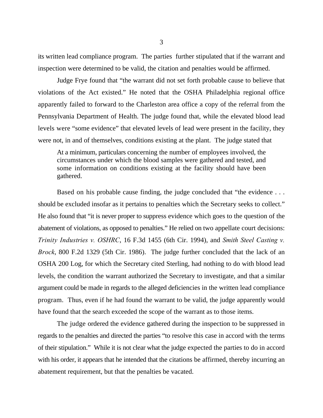its written lead compliance program. The parties further stipulated that if the warrant and inspection were determined to be valid, the citation and penalties would be affirmed.

Judge Frye found that "the warrant did not set forth probable cause to believe that violations of the Act existed." He noted that the OSHA Philadelphia regional office apparently failed to forward to the Charleston area office a copy of the referral from the Pennsylvania Department of Health. The judge found that, while the elevated blood lead levels were "some evidence" that elevated levels of lead were present in the facility, they were not, in and of themselves, conditions existing at the plant. The judge stated that

At a minimum, particulars concerning the number of employees involved, the circumstances under which the blood samples were gathered and tested, and some information on conditions existing at the facility should have been gathered.

Based on his probable cause finding, the judge concluded that "the evidence ... should be excluded insofar as it pertains to penalties which the Secretary seeks to collect." He also found that "it is never proper to suppress evidence which goes to the question of the abatement of violations, as opposed to penalties." He relied on two appellate court decisions: *Trinity Industries v. OSHRC*, 16 F.3d 1455 (6th Cir. 1994), and *Smith Steel Casting v. Brock*, 800 F.2d 1329 (5th Cir. 1986). The judge further concluded that the lack of an OSHA 200 Log, for which the Secretary cited Sterling, had nothing to do with blood lead levels, the condition the warrant authorized the Secretary to investigate, and that a similar argument could be made in regards to the alleged deficiencies in the written lead compliance program. Thus, even if he had found the warrant to be valid, the judge apparently would have found that the search exceeded the scope of the warrant as to those items.

The judge ordered the evidence gathered during the inspection to be suppressed in regards to the penalties and directed the parties "to resolve this case in accord with the terms of their stipulation." While it is not clear what the judge expected the parties to do in accord with his order, it appears that he intended that the citations be affirmed, thereby incurring an abatement requirement, but that the penalties be vacated.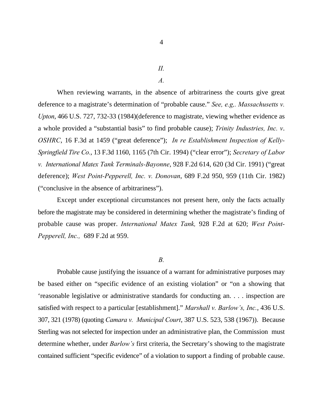*II.*

*A.*

When reviewing warrants, in the absence of arbitrariness the courts give great deference to a magistrate's determination of "probable cause." *See, e.g,. Massachusetts v. Upton*, 466 U.S. 727, 732-33 (1984)(deference to magistrate, viewing whether evidence as a whole provided a "substantial basis" to find probable cause); *Trinity Industries, Inc. v*. *OSHRC*, 16 F.3d at 1459 ("great deference"); *In re Establishment Inspection of Kelly-Springfield Tire Co.*, 13 F.3d 1160, 1165 (7th Cir. 1994) ("clear error"); *Secretary of Labor v. International Matex Tank Terminals-Bayonne*, 928 F.2d 614, 620 (3d Cir. 1991) ("great deference); *West Point-Pepperell, Inc. v. Donovan*, 689 F.2d 950, 959 (11th Cir. 1982) ("conclusive in the absence of arbitrariness").

Except under exceptional circumstances not present here, only the facts actually before the magistrate may be considered in determining whether the magistrate's finding of probable cause was proper. *International Matex Tank,* 928 F.2d at 620; *West Point-Pepperell, Inc.,* 689 F.2d at 959.

*B.*

Probable cause justifying the issuance of a warrant for administrative purposes may be based either on "specific evidence of an existing violation" or "on a showing that 'reasonable legislative or administrative standards for conducting an. . . . inspection are satisfied with respect to a particular [establishment]." *Marshall v. Barlow's, Inc.*, 436 U.S. 307, 321 (1978) (quoting *Camara v. Municipal Court*, 387 U.S. 523, 538 (1967)). Because Sterling was not selected for inspection under an administrative plan, the Commission must determine whether, under *Barlow's* first criteria, the Secretary's showing to the magistrate contained sufficient "specific evidence" of a violation to support a finding of probable cause.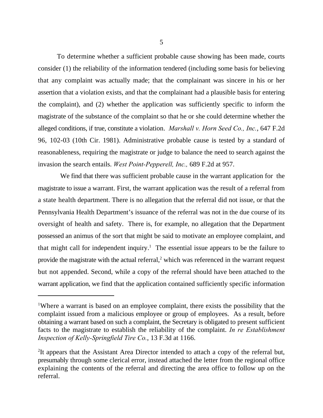To determine whether a sufficient probable cause showing has been made, courts consider (1) the reliability of the information tendered (including some basis for believing that any complaint was actually made; that the complainant was sincere in his or her assertion that a violation exists, and that the complainant had a plausible basis for entering the complaint), and (2) whether the application was sufficiently specific to inform the magistrate of the substance of the complaint so that he or she could determine whether the alleged conditions, if true, constitute a violation. *Marshall v. Horn Seed Co., Inc.*, 647 F.2d 96, 102-03 (10th Cir. 1981). Administrative probable cause is tested by a standard of reasonableness, requiring the magistrate or judge to balance the need to search against the invasion the search entails. *West Point-Pepperell, Inc.,* 689 F.2d at 957.

 We find that there was sufficient probable cause in the warrant application for the magistrate to issue a warrant. First, the warrant application was the result of a referral from a state health department. There is no allegation that the referral did not issue, or that the Pennsylvania Health Department's issuance of the referral was not in the due course of its oversight of health and safety. There is, for example, no allegation that the Department possessed an animus of the sort that might be said to motivate an employee complaint, and that might call for independent inquiry.<sup>1</sup> The essential issue appears to be the failure to provide the magistrate with the actual referral, $<sup>2</sup>$  which was referenced in the warrant request</sup> but not appended. Second, while a copy of the referral should have been attached to the warrant application, we find that the application contained sufficiently specific information

<sup>&</sup>lt;sup>1</sup>Where a warrant is based on an employee complaint, there exists the possibility that the complaint issued from a malicious employee or group of employees. As a result, before obtaining a warrant based on such a complaint, the Secretary is obligated to present sufficient facts to the magistrate to establish the reliability of the complaint. *In re Establishment Inspection of Kelly-Springfield Tire Co.*, 13 F.3d at 1166.

 ${}^{2}$ It appears that the Assistant Area Director intended to attach a copy of the referral but, presumably through some clerical error, instead attached the letter from the regional office explaining the contents of the referral and directing the area office to follow up on the referral.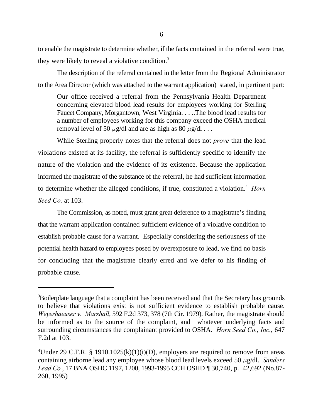to enable the magistrate to determine whether, if the facts contained in the referral were true, they were likely to reveal a violative condition.<sup>3</sup>

The description of the referral contained in the letter from the Regional Administrator to the Area Director (which was attached to the warrant application) stated, in pertinent part:

Our office received a referral from the Pennsylvania Health Department concerning elevated blood lead results for employees working for Sterling Faucet Company, Morgantown, West Virginia. . . ..The blood lead results for a number of employees working for this company exceed the OSHA medical removal level of 50  $\mu$ g/dl and are as high as 80  $\mu$ g/dl . . .

While Sterling properly notes that the referral does not *prove* that the lead violations existed at its facility, the referral is sufficiently specific to identify the nature of the violation and the evidence of its existence. Because the application informed the magistrate of the substance of the referral, he had sufficient information to determine whether the alleged conditions, if true, constituted a violation.<sup>4</sup> Horn *Seed Co.* at 103.

The Commission, as noted, must grant great deference to a magistrate's finding that the warrant application contained sufficient evidence of a violative condition to establish probable cause for a warrant. Especially considering the seriousness of the potential health hazard to employees posed by overexposure to lead, we find no basis for concluding that the magistrate clearly erred and we defer to his finding of probable cause.

<sup>&</sup>lt;sup>3</sup>Boilerplate language that a complaint has been received and that the Secretary has grounds to believe that violations exist is not sufficient evidence to establish probable cause. *Weyerhaeuser v. Marshall*, 592 F.2d 373, 378 (7th Cir. 1979). Rather, the magistrate should be informed as to the source of the complaint, and whatever underlying facts and surrounding circumstances the complainant provided to OSHA. *Horn Seed Co., Inc.,* 647 F.2d at 103.

<sup>&</sup>lt;sup>4</sup>Under 29 C.F.R. § 1910.1025(k)(1)(i)(D), employers are required to remove from areas containing airborne lead any employee whose blood lead levels exceed 50  $\mu$ g/dl. *Sanders Lead Co.*, 17 BNA OSHC 1197, 1200, 1993-1995 CCH OSHD ¶ 30,740, p. 42,692 (No.87- 260, 1995)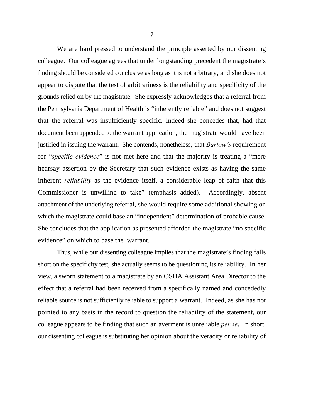We are hard pressed to understand the principle asserted by our dissenting colleague. Our colleague agrees that under longstanding precedent the magistrate's finding should be considered conclusive as long as it is not arbitrary, and she does not appear to dispute that the test of arbitrariness is the reliability and specificity of the grounds relied on by the magistrate. She expressly acknowledges that a referral from the Pennsylvania Department of Health is "inherently reliable" and does not suggest that the referral was insufficiently specific. Indeed she concedes that, had that document been appended to the warrant application, the magistrate would have been justified in issuing the warrant. She contends, nonetheless, that *Barlow's* requirement for "*specific evidence*" is not met here and that the majority is treating a "mere hearsay assertion by the Secretary that such evidence exists as having the same inherent *reliability* as the evidence itself, a considerable leap of faith that this Commissioner is unwilling to take" (emphasis added). Accordingly, absent attachment of the underlying referral, she would require some additional showing on which the magistrate could base an "independent" determination of probable cause. She concludes that the application as presented afforded the magistrate "no specific evidence" on which to base the warrant.

Thus, while our dissenting colleague implies that the magistrate's finding falls short on the specificity test, she actually seems to be questioning its reliability. In her view, a sworn statement to a magistrate by an OSHA Assistant Area Director to the effect that a referral had been received from a specifically named and concededly reliable source is not sufficiently reliable to support a warrant. Indeed, as she has not pointed to any basis in the record to question the reliability of the statement, our colleague appears to be finding that such an averment is unreliable *per se*. In short, our dissenting colleague is substituting her opinion about the veracity or reliability of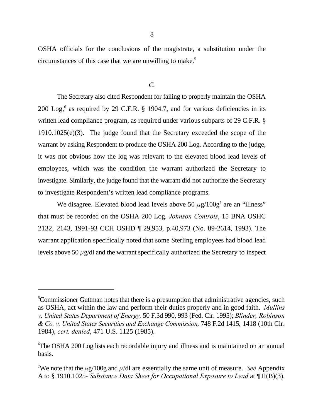OSHA officials for the conclusions of the magistrate, a substitution under the circumstances of this case that we are unwilling to make.<sup>5</sup>

## *C.*

The Secretary also cited Respondent for failing to properly maintain the OSHA 200 Log,<sup>6</sup> as required by 29 C.F.R. § 1904.7, and for various deficiencies in its written lead compliance program, as required under various subparts of 29 C.F.R. § 1910.1025(e)(3). The judge found that the Secretary exceeded the scope of the warrant by asking Respondent to produce the OSHA 200 Log. According to the judge, it was not obvious how the log was relevant to the elevated blood lead levels of employees, which was the condition the warrant authorized the Secretary to investigate. Similarly, the judge found that the warrant did not authorize the Secretary to investigate Respondent's written lead compliance programs.

We disagree. Elevated blood lead levels above 50  $\mu$ g/100g<sup>7</sup> are an "illness" that must be recorded on the OSHA 200 Log. *Johnson Controls*, 15 BNA OSHC 2132, 2143, 1991-93 CCH OSHD ¶ 29,953, p.40,973 (No. 89-2614, 1993). The warrant application specifically noted that some Sterling employees had blood lead levels above 50  $\mu$ g/dl and the warrant specifically authorized the Secretary to inspect

<sup>&</sup>lt;sup>5</sup>Commissioner Guttman notes that there is a presumption that administrative agencies, such as OSHA, act within the law and perform their duties properly and in good faith. *Mullins v. United States Department of Energy,* 50 F.3d 990, 993 (Fed. Cir. 1995); *Blinder, Robinson & Co. v. United States Securities and Exchange Commission,* 748 F.2d 1415*,* 1418 (10th Cir. 1984), *cert. denied*, 471 U.S. 1125 (1985).

The OSHA 200 Log lists each recordable injury and illness and is maintained on an annual <sup>6</sup> basis.

We note that the  $\mu$ g/100g and  $\mu$ /dl are essentially the same unit of measure. *See* Appendix A to § 1910.1025*- Substance Data Sheet for Occupational Exposure to Lead* at ¶ II(B)(3).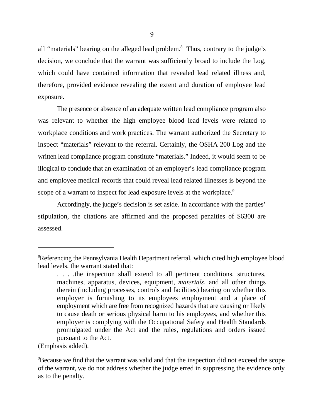all "materials" bearing on the alleged lead problem.<sup>8</sup> Thus, contrary to the judge's decision, we conclude that the warrant was sufficiently broad to include the Log, which could have contained information that revealed lead related illness and, therefore, provided evidence revealing the extent and duration of employee lead exposure.

The presence or absence of an adequate written lead compliance program also was relevant to whether the high employee blood lead levels were related to workplace conditions and work practices. The warrant authorized the Secretary to inspect "materials" relevant to the referral. Certainly, the OSHA 200 Log and the written lead compliance program constitute "materials." Indeed, it would seem to be illogical to conclude that an examination of an employer's lead compliance program and employee medical records that could reveal lead related illnesses is beyond the scope of a warrant to inspect for lead exposure levels at the workplace.<sup>9</sup>

Accordingly, the judge's decision is set aside. In accordance with the parties' stipulation, the citations are affirmed and the proposed penalties of \$6300 are assessed.

<sup>&</sup>lt;sup>8</sup>Referencing the Pennsylvania Health Department referral, which cited high employee blood lead levels, the warrant stated that:

<sup>.</sup> . . .the inspection shall extend to all pertinent conditions, structures, machines, apparatus, devices, equipment, *materials*, and all other things therein (including processes, controls and facilities) bearing on whether this employer is furnishing to its employees employment and a place of employment which are free from recognized hazards that are causing or likely to cause death or serious physical harm to his employees, and whether this employer is complying with the Occupational Safety and Health Standards promulgated under the Act and the rules, regulations and orders issued pursuant to the Act.

<sup>(</sup>Emphasis added).

<sup>&</sup>lt;sup>9</sup> Because we find that the warrant was valid and that the inspection did not exceed the scope of the warrant, we do not address whether the judge erred in suppressing the evidence only as to the penalty.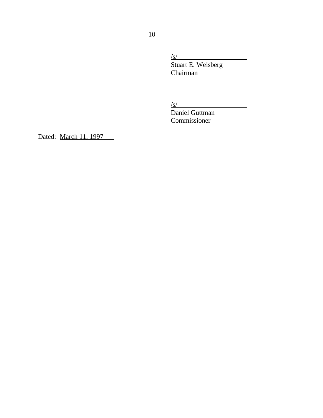/s/

Stuart E. Weisberg Chairman

 $\sqrt{s/2}$ 

Daniel Guttman Commissioner

Dated: March 11, 1997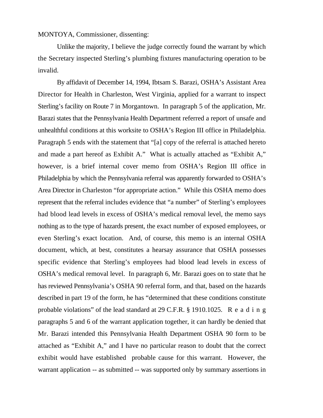## MONTOYA, Commissioner, dissenting:

Unlike the majority, I believe the judge correctly found the warrant by which the Secretary inspected Sterling's plumbing fixtures manufacturing operation to be invalid.

By affidavit of December 14, 1994, Ibtsam S. Barazi, OSHA's Assistant Area Director for Health in Charleston, West Virginia, applied for a warrant to inspect Sterling's facility on Route 7 in Morgantown. In paragraph 5 of the application, Mr. Barazi states that the Pennsylvania Health Department referred a report of unsafe and unhealthful conditions at this worksite to OSHA's Region III office in Philadelphia. Paragraph 5 ends with the statement that "[a] copy of the referral is attached hereto and made a part hereof as Exhibit A." What is actually attached as "Exhibit A," however, is a brief internal cover memo from OSHA's Region III office in Philadelphia by which the Pennsylvania referral was apparently forwarded to OSHA's Area Director in Charleston "for appropriate action." While this OSHA memo does represent that the referral includes evidence that "a number" of Sterling's employees had blood lead levels in excess of OSHA's medical removal level, the memo says nothing as to the type of hazards present, the exact number of exposed employees, or even Sterling's exact location. And, of course, this memo is an internal OSHA document, which, at best, constitutes a hearsay assurance that OSHA possesses specific evidence that Sterling's employees had blood lead levels in excess of OSHA's medical removal level. In paragraph 6, Mr. Barazi goes on to state that he has reviewed Pennsylvania's OSHA 90 referral form, and that, based on the hazards described in part 19 of the form, he has "determined that these conditions constitute probable violations" of the lead standard at  $29$  C.F.R. § 1910.1025. Reading paragraphs 5 and 6 of the warrant application together, it can hardly be denied that Mr. Barazi intended this Pennsylvania Health Department OSHA 90 form to be attached as "Exhibit A," and I have no particular reason to doubt that the correct exhibit would have established probable cause for this warrant. However, the warrant application -- as submitted -- was supported only by summary assertions in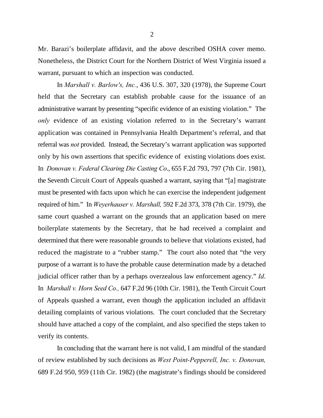Mr. Barazi's boilerplate affidavit, and the above described OSHA cover memo. Nonetheless, the District Court for the Northern District of West Virginia issued a warrant, pursuant to which an inspection was conducted.

In *Marshall v. Barlow's, Inc.*, 436 U.S. 307, 320 (1978), the Supreme Court held that the Secretary can establish probable cause for the issuance of an administrative warrant by presenting "specific evidence of an existing violation." The *only* evidence of an existing violation referred to in the Secretary's warrant application was contained in Pennsylvania Health Department's referral, and that referral was *not* provided. Instead, the Secretary's warrant application was supported only by his own assertions that specific evidence of existing violations does exist. In *Donovan v. Federal Clearing Die Casting Co*., 655 F.2d 793, 797 (7th Cir. 1981), the Seventh Circuit Court of Appeals quashed a warrant, saying that "[a] magistrate must be presented with facts upon which he can exercise the independent judgement required of him." In *Weyerhauser v. Marshall,* 592 F.2d 373, 378 (7th Cir. 1979), the same court quashed a warrant on the grounds that an application based on mere boilerplate statements by the Secretary, that he had received a complaint and determined that there were reasonable grounds to believe that violations existed, had reduced the magistrate to a "rubber stamp." The court also noted that "the very purpose of a warrant is to have the probable cause determination made by a detached judicial officer rather than by a perhaps overzealous law enforcement agency." *Id*. In *Marshall v. Horn Seed Co.,* 647 F.2d 96 (10th Cir. 1981), the Tenth Circuit Court of Appeals quashed a warrant, even though the application included an affidavit detailing complaints of various violations. The court concluded that the Secretary should have attached a copy of the complaint, and also specified the steps taken to verify its contents.

In concluding that the warrant here is not valid, I am mindful of the standard of review established by such decisions as *West Point-Pepperell, Inc. v. Donovan,* 689 F.2d 950, 959 (11th Cir. 1982) (the magistrate's findings should be considered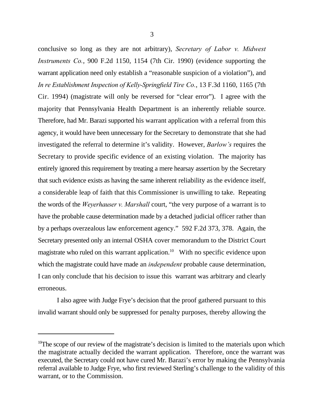conclusive so long as they are not arbitrary), *Secretary of Labor v. Midwest Instruments Co.*, 900 F.2d 1150, 1154 (7th Cir. 1990) (evidence supporting the warrant application need only establish a "reasonable suspicion of a violation"), and *In re Establishment Inspection of Kelly-Springfield Tire Co.*, 13 F.3d 1160, 1165 (7th Cir. 1994) (magistrate will only be reversed for "clear error"). I agree with the majority that Pennsylvania Health Department is an inherently reliable source. Therefore, had Mr. Barazi supported his warrant application with a referral from this agency, it would have been unnecessary for the Secretary to demonstrate that she had investigated the referral to determine it's validity. However, *Barlow's* requires the Secretary to provide specific evidence of an existing violation. The majority has entirely ignored this requirement by treating a mere hearsay assertion by the Secretary that such evidence exists as having the same inherent reliability as the evidence itself, a considerable leap of faith that this Commissioner is unwilling to take. Repeating the words of the *Weyerhauser v. Marshall* court, "the very purpose of a warrant is to have the probable cause determination made by a detached judicial officer rather than by a perhaps overzealous law enforcement agency." 592 F.2d 373, 378. Again, the Secretary presented only an internal OSHA cover memorandum to the District Court magistrate who ruled on this warrant application.<sup>10</sup> With no specific evidence upon

which the magistrate could have made an *independent* probable cause determination, I can only conclude that his decision to issue this warrant was arbitrary and clearly erroneous.

I also agree with Judge Frye's decision that the proof gathered pursuant to this invalid warrant should only be suppressed for penalty purposes, thereby allowing the

 $10$ The scope of our review of the magistrate's decision is limited to the materials upon which the magistrate actually decided the warrant application. Therefore, once the warrant was executed, the Secretary could not have cured Mr. Barazi's error by making the Pennsylvania referral available to Judge Frye, who first reviewed Sterling's challenge to the validity of this warrant, or to the Commission.